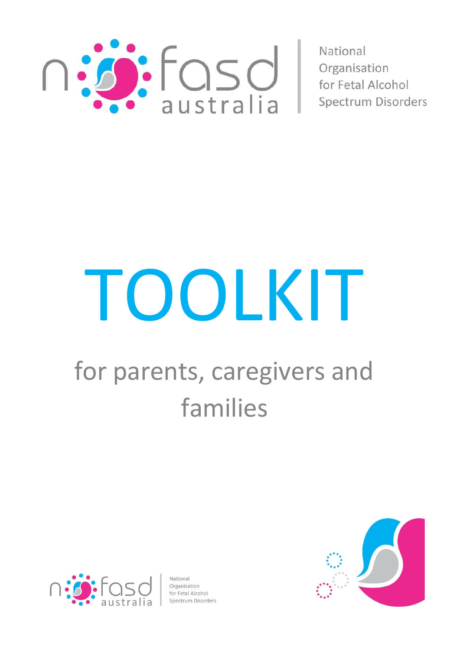

National Organisation for Fetal Alcohol Spectrum Disorders

# TOOLKIT

# for parents, caregivers and families



Organisation Organisation<br>for Fetal Alcohol<br>Snectrum Disoro

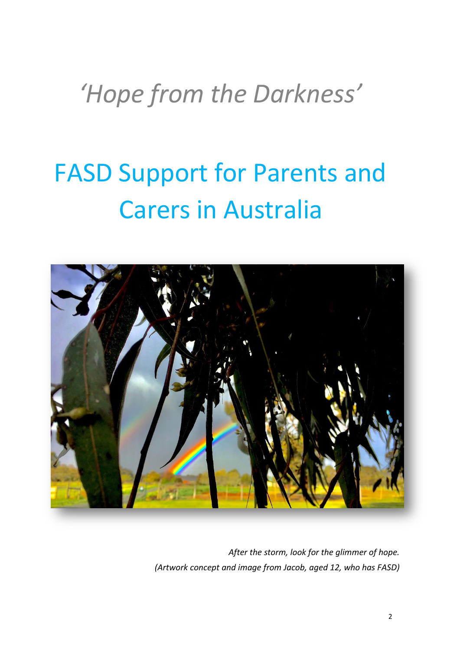# *'Hope from the Darkness'*

# FASD Support for Parents and Carers in Australia



*After the storm, look for the glimmer of hope. (Artwork concept and image from Jacob, aged 12, who has FASD)*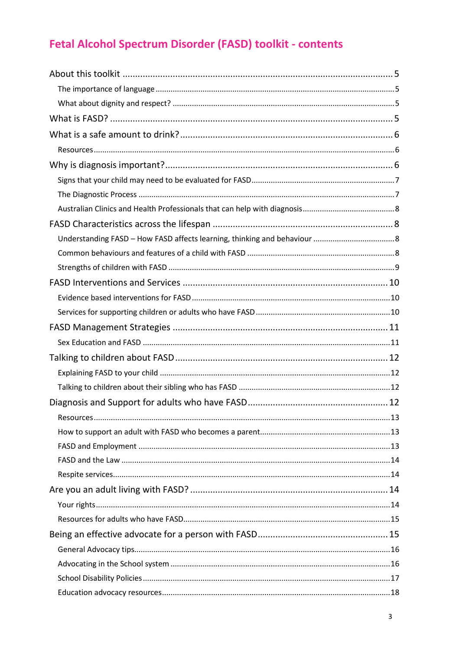# Fetal Alcohol Spectrum Disorder (FASD) toolkit - contents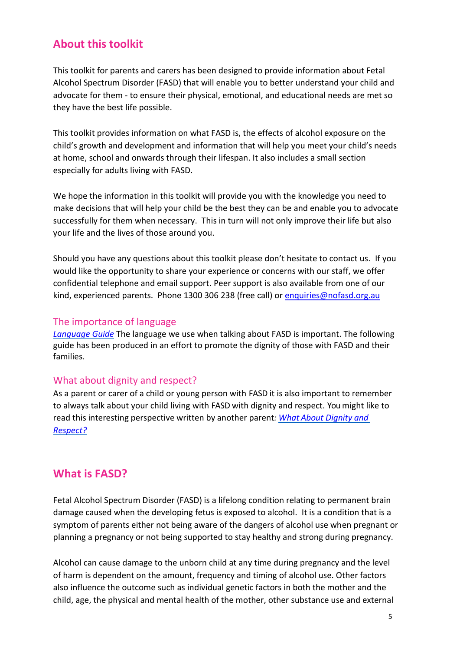# <span id="page-4-0"></span>**About this toolkit**

This toolkit for parents and carers has been designed to provide information about Fetal Alcohol Spectrum Disorder (FASD) that will enable you to better understand your child and advocate for them - to ensure their physical, emotional, and educational needs are met so they have the best life possible.

This toolkit provides information on what FASD is, the effects of alcohol exposure on the child's growth and development and information that will help you meet your child's needs at home, school and onwards through their lifespan. It also includes a small section especially for adults living with FASD.

We hope the information in this toolkit will provide you with the knowledge you need to make decisions that will help your child be the best they can be and enable you to advocate successfully for them when necessary. This in turn will not only improve their life but also your life and the lives of those around you.

Should you have any questions about this toolkit please don't hesitate to contact us. If you would like the opportunity to share your experience or concerns with our staff, we offer confidential telephone and email support. Peer support is also available from one of our kind, experienced parents. Phone 1300 306 238 (free call) o[r enquiries@nofasd.org.au](mailto:enquiries@nofasd.org.au)

#### <span id="page-4-1"></span>The importance of language

*[Language Guide](https://www.fasdwaterlooregion.ca/assets/documents/laeo-language-guide-r4.pdf)* The language we use when talking about FASD is important. The following guide has been produced in an effort to promote the dignity of those with FASD and their families.

#### <span id="page-4-2"></span>What about dignity and respect?

As a parent or carer of a child or young person with FASD it is also important to remember to always talk about your child living with FASD with dignity and respect. You might like to read this interesting perspective written by another parent*: What About [Dignity](https://www.ellenstumbo.com/dignity-respect-disability-attitudes-fail-us/) and [Respect?](https://www.ellenstumbo.com/dignity-respect-disability-attitudes-fail-us/)*

# <span id="page-4-3"></span>**What is FASD?**

Fetal Alcohol Spectrum Disorder (FASD) is a lifelong condition relating to permanent brain damage caused when the developing fetus is exposed to alcohol. It is a condition that is a symptom of parents either not being aware of the dangers of alcohol use when pregnant or planning a pregnancy or not being supported to stay healthy and strong during pregnancy.

Alcohol can cause damage to the unborn child at any time during pregnancy and the level of harm is dependent on the amount, frequency and timing of alcohol use. Other factors also influence the outcome such as individual genetic factors in both the mother and the child, age, the physical and mental health of the mother, other substance use and external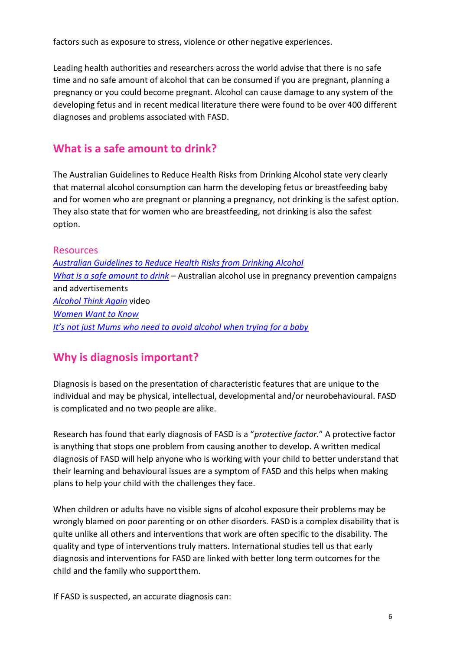factors such as exposure to stress, violence or other negative experiences.

Leading health authorities and researchers across the world advise that there is no safe time and no safe amount of alcohol that can be consumed if you are pregnant, planning a pregnancy or you could become pregnant. Alcohol can cause damage to any system of the developing fetus and in recent medical literature there were found to be over 400 different diagnoses and problems associated with FASD.

# <span id="page-5-0"></span>**What is a safe amount to drink?**

The Australian Guidelines to Reduce Health Risks from Drinking Alcohol state very clearly that maternal alcohol consumption can harm the developing fetus or breastfeeding baby and for women who are pregnant or planning a pregnancy, not drinking is the safest option. They also state that for women who are breastfeeding, not drinking is also the safest option.

#### <span id="page-5-1"></span>Resources

*[Australian Guidelines to Reduce Health Risks from Drinking Alcohol](https://www.nhmrc.gov.au/guidelines-publications/ds10) [What is a safe amount to drink](https://alcoholpregnancy.telethonkids.org.au/resources/australian-videos--dvds/)* – Australian alcohol use in pregnancy prevention campaigns and advertisements *[Alcohol Think Again](http://alcoholthinkagain.com.au/DesktopModules/ATACampaignDetails/DocumentView.ashx?documentid=32)* video *[Women Want to Know](http://www.alcohol.gov.au/internet/alcohol/publishing.nsf/Content/wwtk) I[t's not just Mums who need to avoid alcohol when trying for a baby](https://theconversation.com/its-not-just-mums-who-need-to-avoid-alcohol-when-trying-for-a-baby-83794)*

# <span id="page-5-2"></span>**Why is diagnosis important?**

Diagnosis is based on the presentation of characteristic features that are unique to the individual and may be physical, intellectual, developmental and/or neurobehavioural. FASD is complicated and no two people are alike.

Research has found that early diagnosis of FASD is a "*protective factor.*" A protective factor is anything that stops one problem from causing another to develop. A written medical diagnosis of FASD will help anyone who is working with your child to better understand that their learning and behavioural issues are a symptom of FASD and this helps when making plans to help your child with the challenges they face.

When children or adults have no visible signs of alcohol exposure their problems may be wrongly blamed on poor parenting or on other disorders. FASD is a complex disability that is quite unlike all others and interventions that work are often specific to the disability. The quality and type of interventions truly matters. International studies tell us that early diagnosis and interventions for FASD are linked with better long term outcomes for the child and the family who support them.

If FASD is suspected, an accurate diagnosis can: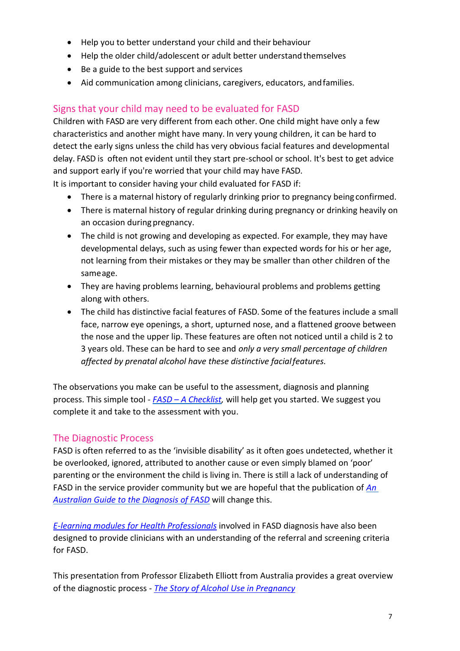- Help you to better understand your child and their behaviour
- Help the older child/adolescent or adult better understand themselves
- Be a guide to the best support and services
- Aid communication among clinicians, caregivers, educators, andfamilies.

#### <span id="page-6-0"></span>Signs that your child may need to be evaluated for FASD

Children with FASD are very different from each other. One child might have only a few characteristics and another might have many. In very young children, it can be hard to detect the early signs unless the child has very obvious facial features and developmental delay. FASD is often not evident until they start pre-school or school. It's best to get advice and support early if you're worried that your child may have FASD.

It is important to consider having your child evaluated for FASD if:

- There is a maternal history of regularly drinking prior to pregnancy being confirmed.
- There is maternal history of regular drinking during pregnancy or drinking heavily on an occasion during pregnancy.
- The child is not growing and developing as expected. For example, they may have developmental delays, such as using fewer than expected words for his or her age, not learning from their mistakes or they may be smaller than other children of the sameage.
- They are having problems learning, behavioural problems and problems getting along with others.
- The child has distinctive facial features of FASD. Some of the features include a small face, narrow eye openings, a short, upturned nose, and a flattened groove between the nose and the upper lip. These features are often not noticed until a child is 2 to 3 years old. These can be hard to see and *only a very small percentage of children affected by prenatal alcohol have these distinctive facialfeatures.*

The observations you make can be useful to the assessment, diagnosis and planning process. This simple tool - *FASD – [A Checklist,](http://www.nofasd.org.au/resources/fact-sheets)* will help get you started. We suggest you complete it and take to the assessment with you.

#### <span id="page-6-1"></span>The Diagnostic Process

FASD is often referred to as the 'invisible disability' as it often goes undetected, whether it be overlooked, ignored, attributed to another cause or even simply blamed on 'poor' parenting or the environment the child is living in. There is still a lack of understanding of FASD in the service provider community but we are hopeful that the publication of *[An](https://alcoholpregnancy.telethonkids.org.au/contentassets/6bfc4e8cd1c9488b998d50ea4bff9180/australian-guide-to-diagnosis-of-fasd_all-appendices.pdf)  [Australian Guide to the Diagnosis of FASD](https://alcoholpregnancy.telethonkids.org.au/contentassets/6bfc4e8cd1c9488b998d50ea4bff9180/australian-guide-to-diagnosis-of-fasd_all-appendices.pdf)* will change this.

*[E-learning modules for Health Professionals](https://alcoholpregnancy.telethonkids.org.au/alcohol-pregnancy-and-breastfeeding/diagnosing-fasd/e-learning-modules/)* involved in FASD diagnosis have also been designed to provide clinicians with an understanding of the referral and screening criteria for FASD.

This presentation from Professor Elizabeth Elliott from Australia provides a great overview of the diagnostic process - *[The Story of Alcohol Use in Pregnancy](https://vimeo.com/100859137)*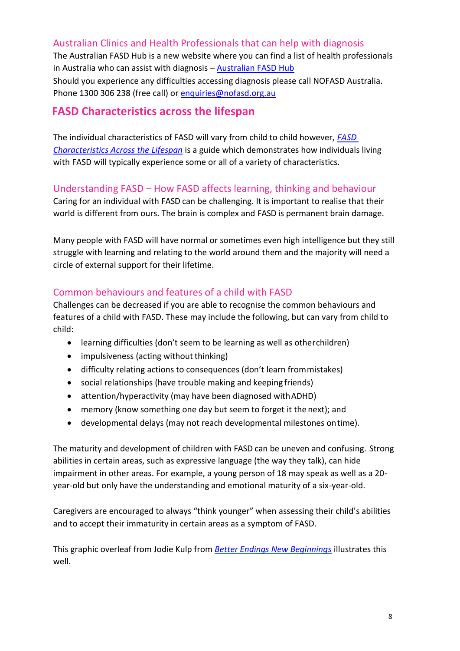# <span id="page-7-0"></span>Australian Clinics and Health Professionals that can help with diagnosis

The Australian FASD Hub is a new website where you can find a list of health professionals in Australia who can assist with diagnosis *–* [Australian FASD Hub](https://www.fasdhub.org.au/) Should you experience any difficulties accessing diagnosis please call NOFASD Australia. Phone 1300 306 238 (free call) o[r enquiries@nofasd.org.au](mailto:enquiries@nofasd.org.au)

#### <span id="page-7-1"></span>**FASD Characteristics across the lifespan**

The individual characteristics of FASD will vary from child to child however, *[FASD](http://www.nofasd.org.au/LiteratureRetrieve.aspx?ID=142522&A=SearchResult&SearchID=92649082&ObjectID=142522&ObjectType=6)  [Characteristics Across the Lifespan](http://www.nofasd.org.au/LiteratureRetrieve.aspx?ID=142522&A=SearchResult&SearchID=92649082&ObjectID=142522&ObjectType=6)* is a guide which demonstrates how individuals living with FASD will typically experience some or all of a variety of characteristics.

#### <span id="page-7-2"></span>Understanding FASD – How FASD affects learning, thinking and behaviour

Caring for an individual with FASD can be challenging. It is important to realise that their world is different from ours. The brain is complex and FASD is permanent brain damage.

Many people with FASD will have normal or sometimes even high intelligence but they still struggle with learning and relating to the world around them and the majority will need a circle of external support for their lifetime.

#### <span id="page-7-3"></span>Common behaviours and features of a child with FASD

Challenges can be decreased if you are able to recognise the common behaviours and features of a child with FASD. These may include the following, but can vary from child to child:

- learning difficulties (don't seem to be learning as well as otherchildren)
- impulsiveness (acting without thinking)
- difficulty relating actions to consequences (don't learn frommistakes)
- social relationships (have trouble making and keeping friends)
- attention/hyperactivity (may have been diagnosed withADHD)
- memory (know something one day but seem to forget it the next); and
- developmental delays (may not reach developmental milestones ontime).

The maturity and development of children with FASD can be uneven and confusing. Strong abilities in certain areas, such as expressive language (the way they talk), can hide impairment in other areas. For example, a young person of 18 may speak as well as a 20 year-old but only have the understanding and emotional maturity of a six-year-old.

Caregivers are encouraged to always "think younger" when assessing their child's abilities and to accept their immaturity in certain areas as a symptom of FASD.

This graphic overleaf from Jodie Kulp from *[Better Endings New Beginnings](http://www.betterendings.org/)* illustrates this well.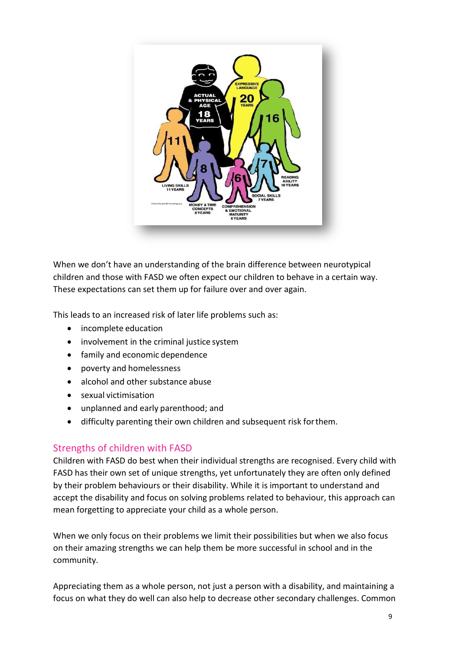

When we don't have an understanding of the brain difference between neurotypical children and those with FASD we often expect our children to behave in a certain way. These expectations can set them up for failure over and over again.

This leads to an increased risk of later life problems such as:

- incomplete education
- involvement in the criminal justice system
- family and economic dependence
- poverty and homelessness
- alcohol and other substance abuse
- sexual victimisation
- unplanned and early parenthood; and
- difficulty parenting their own children and subsequent risk forthem.

#### <span id="page-8-0"></span>Strengths of children with FASD

Children with FASD do best when their individual strengths are recognised. Every child with FASD has their own set of unique strengths, yet unfortunately they are often only defined by their problem behaviours or their disability. While it is important to understand and accept the disability and focus on solving problems related to behaviour, this approach can mean forgetting to appreciate your child as a whole person.

When we only focus on their problems we limit their possibilities but when we also focus on their amazing strengths we can help them be more successful in school and in the community.

Appreciating them as a whole person, not just a person with a disability, and maintaining a focus on what they do well can also help to decrease other secondary challenges. Common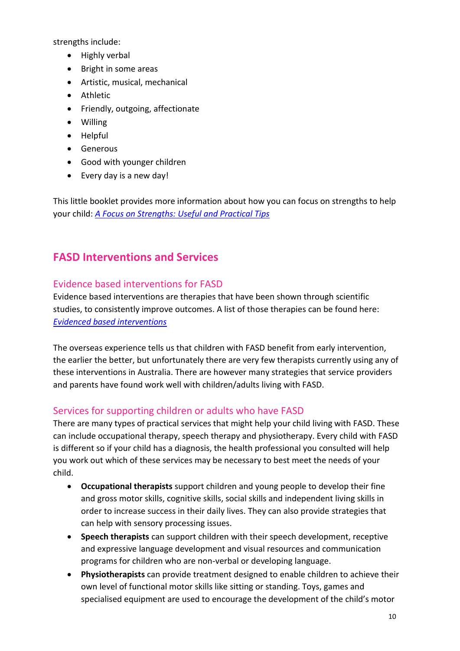strengths include:

- Highly verbal
- Bright in some areas
- Artistic, musical, mechanical
- Athletic
- Friendly, outgoing, affectionate
- Willing
- Helpful
- Generous
- Good with younger children
- Every day is a new day!

This little booklet provides more information about how you can focus on strengths to help your child: *[A Focus on Strengths: Useful and Practical Tips](http://static1.1.sqspcdn.com/static/f/1445116/26804151/1453264552060/A+Focus+on+Strengths+Useful+and+Practical+Tips.pdf?token=YHqIutbB4BKh0JXq4pPzuKLn1Ag%3D)*

# <span id="page-9-0"></span>**FASD Interventions and Services**

#### <span id="page-9-1"></span>Evidence based interventions for FASD

Evidence based interventions are therapies that have been shown through scientific studies, to consistently improve outcomes. A list of those therapies can be found here: *[Evidenced based interventions](https://www.aap.org/en-us/advocacy-and-policy/aap-health-initiatives/fetal-alcohol-spectrum-disorders-toolkit/Pages/Evidence-Based.aspx)*

The overseas experience tells us that children with FASD benefit from early intervention, the earlier the better, but unfortunately there are very few therapists currently using any of these interventions in Australia. There are however many strategies that service providers and parents have found work well with children/adults living with FASD.

#### <span id="page-9-2"></span>Services for supporting children or adults who have FASD

There are many types of practical services that might help your child living with FASD. These can include occupational therapy, speech therapy and physiotherapy. Every child with FASD is different so if your child has a diagnosis, the health professional you consulted will help you work out which of these services may be necessary to best meet the needs of your child.

- **Occupational therapists** support children and young people to develop their fine and gross motor skills, cognitive skills, social skills and independent living skills in order to increase success in their daily lives. They can also provide strategies that can help with sensory processing issues.
- **Speech therapists** can support children with their speech development, receptive and expressive language development and visual resources and communication programs for children who are non-verbal or developing language.
- **Physiotherapists** can provide treatment designed to enable children to achieve their own level of functional motor skills like sitting or standing. Toys, games and specialised equipment are used to encourage the development of the child's motor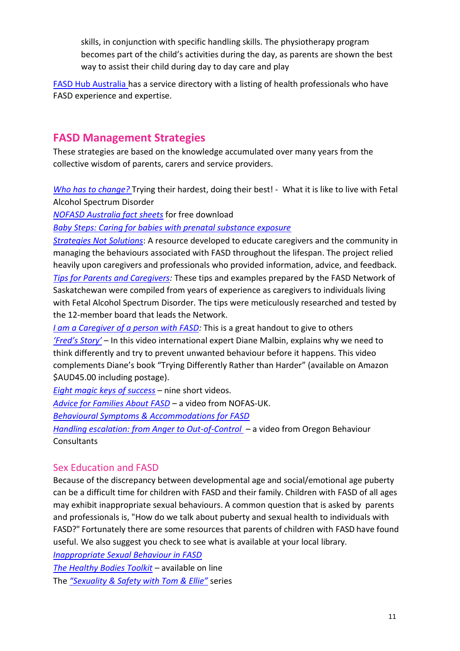skills, in conjunction with specific handling skills. The physiotherapy program becomes part of the child's activities during the day, as parents are shown the best way to assist their child during day to day care and play

[FASD Hub Australia](https://www.fasdhub.org.au/services/) has a service directory with a listing of health professionals who have FASD experience and expertise.

#### <span id="page-10-0"></span>**FASD Management Strategies**

These strategies are based on the knowledge accumulated over many years from the collective wisdom of parents, carers and service providers.

*Who has to change?* [Trying their hardest, doing their](https://static.fasdoutreach.ca/www/downloads/whochange.pdf) best! - What it is like to live with Fetal Alcohol Spectrum Disorder

*[NOFASD Australia fact sheets](http://www.nofasd.org.au/resources/fact-sheets)* for free download

*[Baby Steps: Caring for babies with prenatal substance exposure](http://www2.gov.bc.ca/assets/gov/family-and-social-supports/foster-parenting/baby_steps_caring_babies_prenatal_substance_exposure.pdf)*

*[Strategies Not Solutions](http://www.faslink.org/strategies_not_solutions.pdf)*: A resource developed to educate caregivers and the community in managing the behaviours associated with FASD throughout the lifespan. The project relied heavily upon caregivers and professionals who provided information, advice, and feedback.

*[Tips for Parents and Caregivers:](http://www.skfasnetwork.ca/plugins/userData/resources/Caregivers%20Tips.pdf)* These tips and examples prepared by the FASD Network of Saskatchewan were compiled from years of experience as caregivers to individuals living with Fetal Alcohol Spectrum Disorder. The tips were meticulously researched and tested by the 12-member board that leads the Network.

*[I am a Caregiver of a person with FASD:](https://canfasd.ca/wp-content/uploads/sites/35/2016/11/I-Am-a-Caregiver-poster.pdf)* This is a great handout to give to others *['Fred's Story'](https://www.youtube.com/watch?v=cRqkQipBFyE)* – In this video international expert Diane Malbin, explains why we need to think differently and try to prevent unwanted behaviour before it happens. This video complements Diane's book "Trying Differently Rather than Harder" (available on Amazon \$AUD45.00 including postage).

*[Eight magic keys of success](https://www.youtube.com/playlist?list=PL3tVgb5Vy0WlDxaGmRI1agjVD2lee3wy_)* – nine short videos.

*[Advice for Families About FASD](https://www.youtube.com/watch?v=-VLj_S9BBsg&feature=youtu.be)* – a video from NOFAS-UK.

*[Behavioural Symptoms & Accommodations for FASD](http://fafasd.org/wp-content/uploads/2017/03/behavioral-symptoms-and-accommodations-FASD.pdf)*

*[Handling escalation: from Anger to Out-of-Control](https://www.youtube.com/watch?v=fYoGX_Y6nF8&sns=em)* – a video from Oregon Behaviour **Consultants** 

#### <span id="page-10-1"></span>Sex Education and FASD

Because of the discrepancy between developmental age and social/emotional age puberty can be a difficult time for children with FASD and their family. Children with FASD of all ages may exhibit inappropriate sexual behaviours. A common question that is asked by parents and professionals is, "How do we talk about puberty and sexual health to individuals with FASD?" Fortunately there are some resources that parents of children with FASD have found useful. We also suggest you check to see what is available at your local library.

*[Inappropriate Sexual Behaviour in FASD](https://www.fasdwaterlooregion.ca/assets/images/general/FASD-Sexuality-Carizon.pdf) [The Healthy Bodies Toolkit](http://vkc.mc.vanderbilt.edu/healthybodies/)* – available on line The *["Sexuality & Safety with Tom & Ellie"](https://www.bookdepository.com/Whats-Happening-Ellie-Kate-E-Reynolds/9781849055260)* series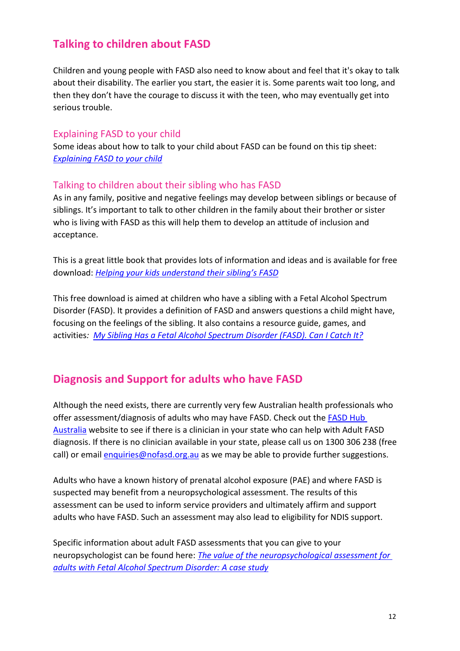# <span id="page-11-0"></span>**Talking to children about FASD**

Children and young people with FASD also need to know about and feel that it's okay to talk about their disability. The earlier you start, the easier it is. Some parents wait too long, and then they don't have the courage to discuss it with the teen, who may eventually get into serious trouble.

#### <span id="page-11-1"></span>Explaining FASD to your child

Some ideas about how to talk to your child about FASD can be found on this tip sheet: *[Explaining FASD to your child](https://www.fasdwaterlooregion.ca/strategies-tools/sub-page-test-2/explaining-fasd-to-your-child)*

#### <span id="page-11-2"></span>Talking to children about their sibling who has FASD

As in any family, positive and negative feelings may develop between siblings or because of siblings. It's important to talk to other children in the family about their brother or sister who is living with FASD as this will help them to develop an attitude of inclusion and acceptance.

This is a great little book that provides lots of information and ideas and is available for free download: *[Helping your kids understand their sibling](http://store.samhsa.gov/product/What-Do-I-Do-Helping-Your-Kids-Understand-Their-Sibling-s-Fetal-Alcohol-Spectrum-Disorder-FASD-/SMA06-4246)'s FASD*

This free download is aimed at children who have a sibling with a Fetal Alcohol Spectrum Disorder (FASD). It provides a definition of FASD and answers questions a child might have, focusing on the feelings of the sibling. It also contains a resource guide, games, and activities*: [My Sibling Has a Fetal Alcohol Spectrum Disorder \(FASD\). Can I Catch It?](http://store.samhsa.gov/product/My-Sibling-Has-a-Fetal-Alcohol-Spectrum-Disorder-FASD-Can-I-Catch-It-/SMA06-4247)*

# <span id="page-11-3"></span>**Diagnosis and Support for adults who have FASD**

Although the need exists, there are currently very few Australian health professionals who offer assessment/diagnosis of adults who may have FASD. Check out the **FASD Hub** [Australia](http://www.fasdhub.org.au/) website to see if there is a clinician in your state who can help with Adult FASD diagnosis. If there is no clinician available in your state, please call us on 1300 306 238 (free call) or email [enquiries@nofasd.org.au](mailto:enquiries@nofasd.org.au) as we may be able to provide further suggestions.

Adults who have a known history of prenatal alcohol exposure (PAE) and where FASD is suspected may benefit from a neuropsychological assessment. The results of this assessment can be used to inform service providers and ultimately affirm and support adults who have FASD. Such an assessment may also lead to eligibility for NDIS support.

Specific information about adult FASD assessments that you can give to your neuropsychologist can be found here: *[The value of the neuropsychological assessment for](http://www.ijadr.org/index.php/ijadr/article/view/107/210)  [adults with Fetal Alcohol Spectrum Disorder: A case study](http://www.ijadr.org/index.php/ijadr/article/view/107/210)*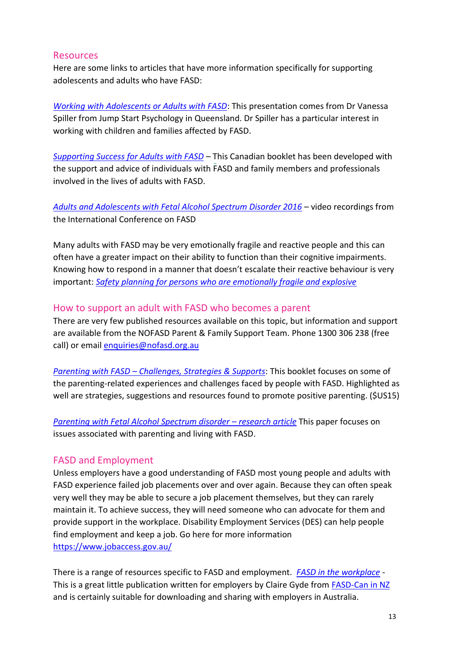#### <span id="page-12-0"></span>**Resources**

Here are some links to articles that have more information specifically for supporting adolescents and adults who have FASD:

*[Working with Adolescents or Adults with FASD](http://www.nofasd.org.au/client-uploads/documents/FASD-adolecents-and-adults-Gold-Coast-July-2017-NoFas%20(1).pdf)*: This presentation comes from Dr Vanessa Spiller from Jump Start Psychology in Queensland. Dr Spiller has a particular interest in working with children and families affected by FASD.

*[Supporting Success for Adults with FASD](http://www.communitylivingbc.ca/learn-more/other-publications/supporting-success-for-adults-with-fasd/)* – This Canadian booklet has been developed with the support and advice of individuals with FASD and family members and professionals involved in the lives of adults with FASD.

*[Adults and Adolescents with Fetal Alcohol Spectrum Disorder 2016](http://interprofessional.ubc.ca/webcasts/adultswithfasd2016/)* – video recordings from the International Conference on FASD

Many adults with FASD may be very emotionally fragile and reactive people and this can often have a greater impact on their ability to function than their cognitive impairments. Knowing how to respond in a manner that doesn't escalate their reactive behaviour is very important: *[Safety planning for persons who are emotionally fragile and explosive](http://www.asantecentre.org/_Library/image/safety_plan_final.pdf)*

#### <span id="page-12-1"></span>How to support an adult with FASD who becomes a parent

There are very few published resources available on this topic, but information and support are available from the NOFASD Parent & Family Support Team. Phone 1300 306 238 (free call) or email [enquiries@nofasd.org.au](mailto:enquiries@nofasd.org.au)

*Parenting with FASD – [Challenges, Strategies & Supports](http://mingamarketplace.com/product/parenting-with-fasd-challenges-strategies-supports-booklet)*: This booklet focuses on some of the parenting-related experiences and challenges faced by people with FASD. Highlighted as well are strategies, suggestions and resources found to promote positive parenting. (\$US15)

*[Parenting with Fetal Alcohol Spectrum disorder](https://www.researchgate.net/publication/225491936_Parenting_with_Fetal_Alcohol_Spectrum_Disorder) – research article* This paper focuses on issues associated with parenting and living with FASD.

#### <span id="page-12-2"></span>FASD and Employment

Unless employers have a good understanding of FASD most young people and adults with FASD experience failed job placements over and over again. Because they can often speak very well they may be able to secure a job placement themselves, but they can rarely maintain it. To achieve success, they will need someone who can advocate for them and provide support in the workplace. Disability Employment Services (DES) can help people find employment and keep a job. Go here for more information https:/[/www.jobaccess.gov.au/](http://www.jobaccess.gov.au/)

There is a range of resources specific to FASD and employment. *[FASD in the workplace](http://media.wix.com/ugd/32f4fe_a7fe1b2d720946ddacdfd1abe2d01ffd.pdf)* - This is a great little publication written for employers by Claire Gyde from **FASD-Can in NZ** and is certainly suitable for downloading and sharing with employers in Australia.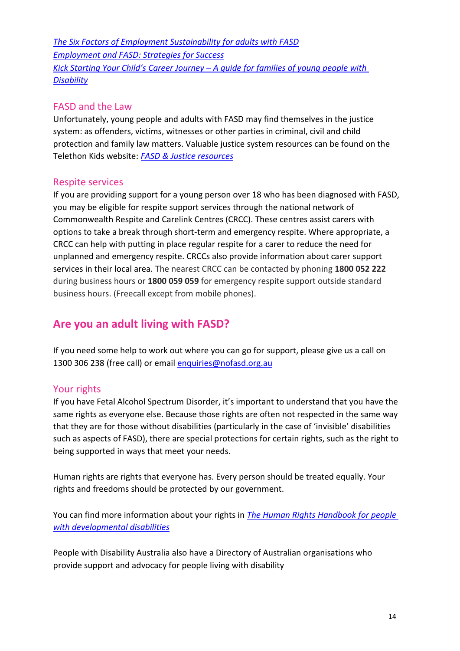*The Six Factors of Employment Sustainability for adults with FASD Employment and FASD: Strategies for Success Kick Starting Your Child's Career Journey – A guide for families of young people with Disability*

#### <span id="page-13-0"></span>FASD and the Law

Unfortunately, young people and adults with FASD may find themselves in the justice system: as offenders, victims, witnesses or other parties in criminal, civil and child protection and family law matters. Valuable justice system resources can be found on the Telethon Kids website: *[FASD & Justice resources](https://alcoholpregnancy.telethonkids.org.au/our-research/fasd--justice/resources/)*

#### <span id="page-13-1"></span>Respite services

If you are providing support for a young person over 18 who has been diagnosed with FASD, you may be eligible for respite support services through the national network of Commonwealth Respite and Carelink Centres (CRCC). These centres assist carers with options to take a break through short-term and emergency respite. Where appropriate, a CRCC can help with putting in place regular respite for a carer to reduce the need for unplanned and emergency respite. CRCCs also provide information about carer support services in their local area. The nearest CRCC can be contacted by phoning **1800 052 222** during business hours or **1800 059 059** for emergency respite support outside standard business hours. (Freecall except from mobile phones).

### <span id="page-13-2"></span>**Are you an adult living with FASD?**

If you need some help to work out where you can go for support, please give us a call on 1300 306 238 (free call) or email [enquiries@nofasd.org.au](mailto:enquiries@nofasd.org.au)

#### <span id="page-13-3"></span>Your rights

If you have Fetal Alcohol Spectrum Disorder, it's important to understand that you have the same rights as everyone else. Because those rights are often not respected in the same way that they are for those without disabilities (particularly in the case of 'invisible' disabilities such as aspects of FASD), there are special protections for certain rights, such as the right to being supported in ways that meet your needs.

Human rights are rights that everyone has. Every person should be treated equally. Your rights and freedoms should be protected by our government.

You can find more information about your rights in *[The Human Rights Handbook for people](http://www.hpod.org/pdf/we-have-human-rights.pdf)  [with developmental disabilities](http://www.hpod.org/pdf/we-have-human-rights.pdf)*

People with Disability Australia also have a Directory of Australian organisations who provide support and advocacy for people living with disability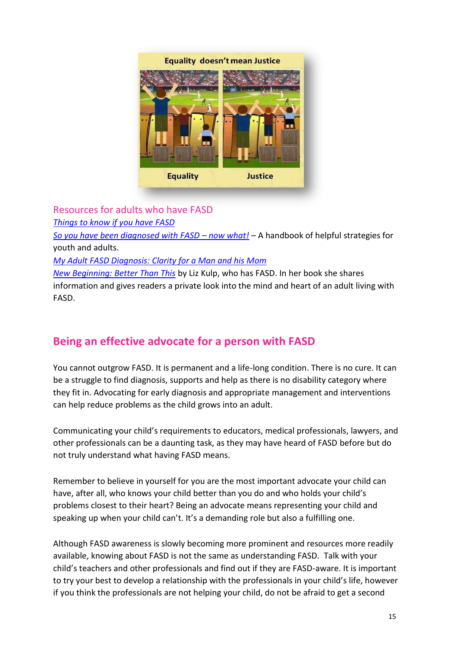

#### <span id="page-14-0"></span>Resources for adults who have FASD

*[Things to know if you have FASD](http://www.asantecentre.org/_Library/docs/Pages_from_AsanteCentre_RackCards_ThingsToKnow_if_you_have_fasd.pdf)*

*[So you have been diagnosed with FASD](http://www.fasdnetwork.org/uploads/9/5/1/1/9511748/you_have_been_diagnosed_with_fasd.pdf) – now what!* – A handbook of helpful strategies for youth and adults.

*[My Adult FASD Diagnosis: Clarity for a Man and his Mom](https://www.youtube.com/watch?v=1oNFd2jDiYA)*

*[New Beginning: Better Than This](https://www.amazon.com/New-Beginning-Better-Than-This/dp/1978486758/ref=sr_1_1?s=books&ie=UTF8&qid=1509338940&sr=1-1&keywords=New+Beginning+Liz+kulp)* by Liz Kulp, who has FASD. In her book she shares information and gives readers a private look into the mind and heart of an adult living with FASD.

# <span id="page-14-1"></span>**Being an effective advocate for a person with FASD**

You cannot outgrow FASD. It is permanent and a life-long condition. There is no cure. It can be a struggle to find diagnosis, supports and help as there is no disability category where they fit in. Advocating for early diagnosis and appropriate management and interventions can help reduce problems as the child grows into an adult.

Communicating your child's requirements to educators, medical professionals, lawyers, and other professionals can be a daunting task, as they may have heard of FASD before but do not truly understand what having FASD means.

Remember to believe in yourself for you are the most important advocate your child can have, after all, who knows your child better than you do and who holds your child's problems closest to their heart? Being an advocate means representing your child and speaking up when your child can't. It's a demanding role but also a fulfilling one.

Although FASD awareness is slowly becoming more prominent and resources more readily available, knowing about FASD is not the same as understanding FASD. Talk with your child's teachers and other professionals and find out if they are FASD-aware. It is important to try your best to develop a relationship with the professionals in your child's life, however if you think the professionals are not helping your child, do not be afraid to get a second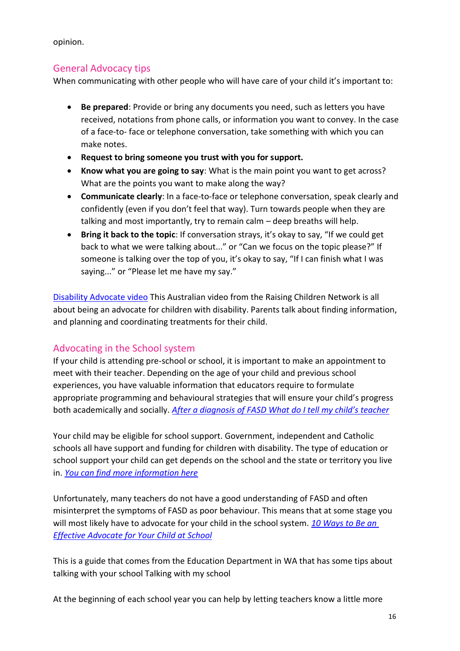opinion.

#### <span id="page-15-0"></span>General Advocacy tips

When communicating with other people who will have care of your child it's important to:

- **Be prepared**: Provide or bring any documents you need, such as letters you have received, notations from phone calls, or information you want to convey. In the case of a face-to- face or telephone conversation, take something with which you can make notes.
- **Request to bring someone you trust with you for support.**
- **Know what you are going to say**: What is the main point you want to get across? What are the points you want to make along the way?
- **Communicate clearly**: In a face-to-face or telephone conversation, speak clearly and confidently (even if you don't feel that way). Turn towards people when they are talking and most importantly, try to remain calm – deep breaths will help.
- **Bring it back to the topic**: If conversation strays, it's okay to say, "If we could get back to what we were talking about..." or "Can we focus on the topic please?" If someone is talking over the top of you, it's okay to say, "If I can finish what I was saying..." or "Please let me have my say."

[Disability Advocate video](http://raisingchildren.net.au/articles/disability_advocate_video.html) This Australian video from the Raising Children Network is all about being an advocate for children with disability. Parents talk about finding information, and planning and coordinating treatments for their child.

#### <span id="page-15-1"></span>Advocating in the School system

If your child is attending pre-school or school, it is important to make an appointment to meet with their teacher. Depending on the age of your child and previous school experiences, you have valuable information that educators require to formulate appropriate programming and behavioural strategies that will ensure your child's progress both academically and socially. *A[fter a diagnosis of FASD What do I tell my child's teacher](https://edmontonfetalalcoholnetwork.org/2011/10/13/after-a-diagnosis-of-fasd-what-do-i-tell-my-childs-teacher/)*

Your child may be eligible for school support. Government, independent and Catholic schools all have support and funding for children with disability. The type of education or school support your child can get depends on the school and the state or territory you live in. *[You can find more information here](http://raisingchildren.net.au/articles/disability_school_support.html)*

Unfortunately, many teachers do not have a good understanding of FASD and often misinterpret the symptoms of FASD as poor behaviour. This means that at some stage you will most likely have to advocate for your child in the school system. *[10 Ways to Be an](https://www.understood.org/en/school-learning/partnering-with-childs-school/working-with-childs-teacher/10-ways-to-be-an-effective-advocate-for-your-child)  [Effective Advocate for Your Child at School](https://www.understood.org/en/school-learning/partnering-with-childs-school/working-with-childs-teacher/10-ways-to-be-an-effective-advocate-for-your-child)*

This is a guide that comes from the Education Department in WA that has some tips about talking with your school Talking with my school

At the beginning of each school year you can help by letting teachers know a little more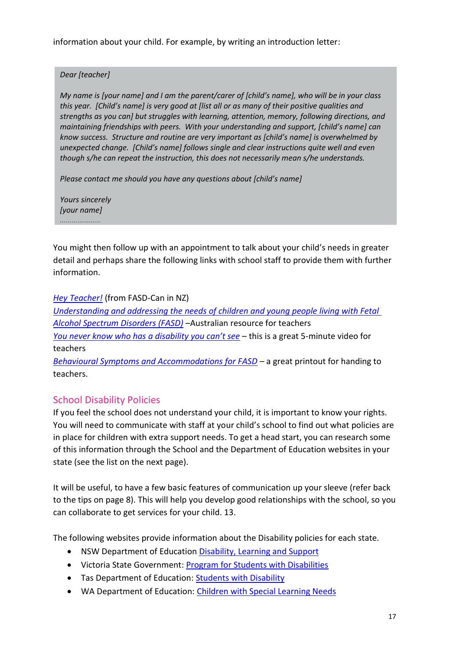information about your child. For example, by writing an introduction letter:

#### *Dear [teacher]*

*My name is [your name] and I am the parent/carer of [child's name], who will be in your class this year. [Child's name] is very good at [list all or as many of their positive qualities and strengths as you can] but struggles with learning, attention, memory, following directions, and maintaining friendships with peers. With your understanding and support, [child's name] can know success. Structure and routine are very important as [child's name] is overwhelmed by unexpected change. [Child's name] follows single and clear instructions quite well and even though s/he can repeat the instruction, this does not necessarily mean s/he understands.*

*Please contact me should you have any questions about [child's name]*

*Yours sincerely [your name]*

You might then follow up with an appointment to talk about your child's needs in greater detail and perhaps share the following links with school staff to provide them with further information.

*[Hey Teacher!](http://media.wix.com/ugd/32f4fe_30ba74ea491d4b7ca0753c219f858956.pdf)* (from FASD-Can in NZ)

*[Understanding and addressing the needs of children and young people living with Fetal](http://kimberleyfasdresource.com.au/pdf/FASD_ResourceForTeachers.pdf)  [Alcohol Spectrum Disorders \(FASD\)](http://kimberleyfasdresource.com.au/pdf/FASD_ResourceForTeachers.pdf)* –Australian resource for teachers *[You never know who has a disability you can't see](https://vimeo.com/71091322)* – this is a great 5-minute video for teachers *[Behavioural Symptoms and Accommodations for FASD](http://fafasd.org/wp-content/uploads/2017/01/behavioral-symptoms-accommodations-FASD.pdf)* – a great printout for handing to

# <span id="page-16-0"></span>School Disability Policies

teachers.

If you feel the school does not understand your child, it is important to know your rights. You will need to communicate with staff at your child's school to find out what policies are in place for children with extra support needs. To get a head start, you can research some of this information through the School and the Department of Education websites in your state (see the list on the next page).

It will be useful, to have a few basic features of communication up your sleeve (refer back to the tips on page 8). This will help you develop good relationships with the school, so you can collaborate to get services for your child. 13.

The following websites provide information about the Disability policies for each state.

- NSW Department of Education [Disability, Learning and Support](https://education.nsw.gov.au/disability-learning-and-support)
- Victoria State Government[: Program for Students with Disabilities](http://www.education.vic.gov.au/about/programs/needs/pages/disabilityprogram.aspx)
- Tas Department of Education: [Students with Disability](http://www.education.tas.gov.au/parents_carers/schools-colleges/Programs-Initiatives/Pages/Students-with-Disabilities.aspx)
- WA Department of Education[: Children with Special Learning Needs](https://www.education.wa.edu.au/web/at-school/supporting-childrens-learning/children-with-special-learning-needs)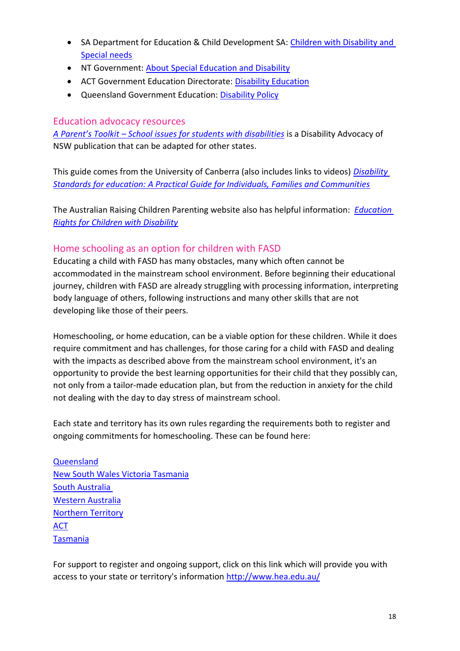- SA Department for Education & Child Development SA: Children with Disability and [Special needs](https://www.decd.sa.gov.au/supporting-students/children-disability-and-special-needs)
- NT Government[: About Special Education and Disability](https://nt.gov.au/learning/special-education/about-special-education-and-disability)
- ACT Government Education Directorate: [Disability Education](http://www.education.act.gov.au/school_education/disability_education)
- Queensland Government Education: [Disability Policy](http://education.qld.gov.au/schools/disability/index.html)

#### <span id="page-17-0"></span>Education advocacy resources

*A Parent's Toolkit – [School issues for students with disabilities](http://da.org.au/wp-content/uploads/A-Parents-Toolkit-School-issues-for-students-with-disabilities-v-1.1.pdf)* is a Disability Advocacy of NSW publication that can be adapted for other states.

This guide comes from the University of Canberra (also includes links to videos) *[Disability](http://resource.dse.theeducationinstitute.edu.au/)  [Standards for education: A Practical Guide for Individuals, Families and Communities](http://resource.dse.theeducationinstitute.edu.au/)*

The Australian Raising Children Parenting website also has helpful information: *[Education](http://raisingchildren.net.au/articles/disabilities_education_rights.html/context/1300)  [Rights for Children with Disability](http://raisingchildren.net.au/articles/disabilities_education_rights.html/context/1300)*

#### <span id="page-17-1"></span>Home schooling as an option for children with FASD

Educating a child with FASD has many obstacles, many which often cannot be accommodated in the mainstream school environment. Before beginning their educational journey, children with FASD are already struggling with processing information, interpreting body language of others, following instructions and many other skills that are not developing like those of their peers.

Homeschooling, or home education, can be a viable option for these children. While it does require commitment and has challenges, for those caring for a child with FASD and dealing with the impacts as described above from the mainstream school environment, it's an opportunity to provide the best learning opportunities for their child that they possibly can, not only from a tailor-made education plan, but from the reduction in anxiety for the child not dealing with the day to day stress of mainstream school.

Each state and territory has its own rules regarding the requirements both to register and ongoing commitments for homeschooling. These can be found here:

[Queensland](http://education.qld.gov.au/parents/home-education/home-ed-unit.html) [New South Wales](http://education.qld.gov.au/parents/home-education/home-ed-unit.html) [Victoria](http://www.education.vic.gov.au/school/parents/primary/Pages/homeschool.aspx) [Tasmania](https://oer.tas.gov.au/home-education/) [South Australia](https://www.sa.gov.au/topics/education-and-learning/schools/alternative-schooling/home-education) [Western Australia](http://www.det.wa.edu.au/homeeducation/detcms/portal/) [Northern Territory](https://nt.gov.au/learning/primary-and-secondary-students/home-education) [ACT](https://www.education.act.gov.au/school_education/home_education) [Tasmania](https://theac.tas.gov.au/)

For support to register and ongoing support, click on this link which will provide you with access to your state or territory's information<http://www.hea.edu.au/>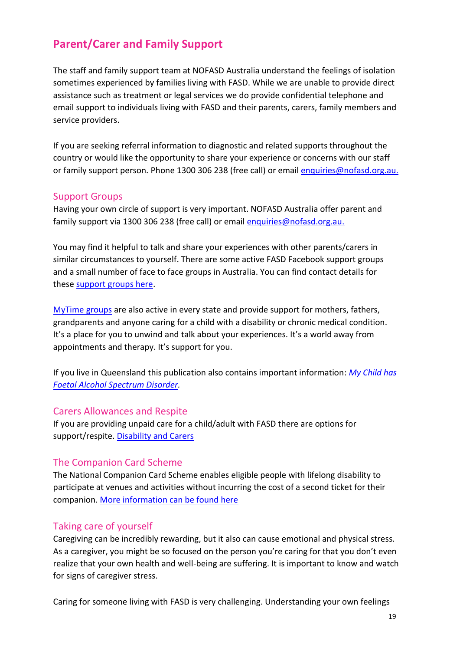# <span id="page-18-0"></span>**Parent/Carer and Family Support**

The staff and family support team at NOFASD Australia understand the feelings of isolation sometimes experienced by families living with FASD. While we are unable to provide direct assistance such as treatment or legal services we do provide confidential telephone and email support to individuals living with FASD and their parents, carers, family members and service providers.

If you are seeking referral information to diagnostic and related supports throughout the country or would like the opportunity to share your experience or concerns with our staff or family support person. Phone 1300 306 238 (free call) or email [enquiries@nofasd.org.au.](mailto:enquiries@nofasd.org.au)

#### <span id="page-18-1"></span>Support Groups

Having your own circle of support is very important. NOFASD Australia offer parent and family support via 1300 306 238 (free call) or email [enquiries@nofasd.org.au.](mailto:enquiries@nofasd.org.au)

You may find it helpful to talk and share your experiences with other parents/carers in similar circumstances to yourself. There are some active FASD Facebook support groups and a small number of face to face groups in Australia. You can find contact details for these [support groups here.](http://www.nofasd.org.au/resources/fasd-support-groups)

[MyTime groups](http://groups.mytime.net.au/) are also active in every state and provide support for mothers, fathers, grandparents and anyone caring for a child with a disability or chronic medical condition. It's a place for you to unwind and talk about your experiences. It's a world away from appointments and therapy. It's support for you.

If you live in Queensland this publication also contains important information: *[My Child has](https://publications.qld.gov.au/dataset/fc44c68c-0191-438f-a1ea-e90add49873d/resource/02150634-82da-4c1f-baa6-d9984440cbe3/download/my-child-has-foetal-alcohol-spectrum-disorder.pdf)  [Foetal Alcohol Spectrum Disorder.](https://publications.qld.gov.au/dataset/fc44c68c-0191-438f-a1ea-e90add49873d/resource/02150634-82da-4c1f-baa6-d9984440cbe3/download/my-child-has-foetal-alcohol-spectrum-disorder.pdf)*

#### <span id="page-18-2"></span>Carers Allowances and Respite

If you are providing unpaid care for a child/adult with FASD there are options for support/respite. [Disability and Carers](https://www.dss.gov.au/disability-and-carers/carers)

#### <span id="page-18-3"></span>The Companion Card Scheme

The National Companion Card Scheme enables eligible people with lifelong disability to participate at venues and activities without incurring the cost of a second ticket for their companion. [More information can be found here](http://www.companioncard.gov.au/)

#### <span id="page-18-4"></span>Taking care of yourself

Caregiving can be incredibly rewarding, but it also can cause emotional and physical stress. As a caregiver, you might be so focused on the person you're caring for that you don't even realize that your own health and well-being are suffering. It is important to know and watch for signs of caregiver stress.

Caring for someone living with FASD is very challenging. Understanding your own feelings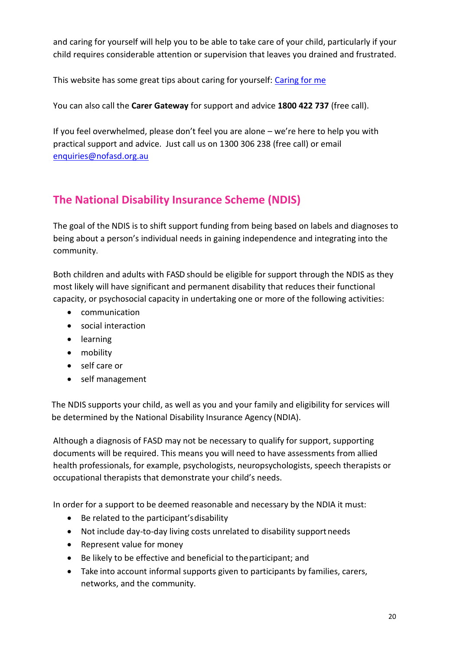and caring for yourself will help you to be able to take care of your child, particularly if your child requires considerable attention or supervision that leaves you drained and frustrated.

This website has some great tips about caring for yourself: [Caring for me](https://www.carergateway.gov.au/caring-for-me)

You can also call the **Carer Gateway** for support and advice **1800 422 737** (free call).

If you feel overwhelmed, please don't feel you are alone – we're here to help you with practical support and advice. Just call us on 1300 306 238 (free call) or email [enquiries@nofasd.org.au](mailto:enquiries@nofasd.org.au)

# <span id="page-19-0"></span>**The National Disability Insurance Scheme (NDIS)**

The goal of the NDIS is to shift support funding from being based on labels and diagnoses to being about a person's individual needs in gaining independence and integrating into the community.

Both children and adults with FASD should be eligible for support through the NDIS as they most likely will have significant and permanent disability that reduces their functional capacity, or psychosocial capacity in undertaking one or more of the following activities:

- communication
- social interaction
- **•** learning
- mobility
- self care or
- self management

The NDIS supports your child, as well as you and your family and eligibility for services will be determined by the National Disability Insurance Agency (NDIA).

Although a diagnosis of FASD may not be necessary to qualify for support, supporting documents will be required. This means you will need to have assessments from allied health professionals, for example, psychologists, neuropsychologists, speech therapists or occupational therapists that demonstrate your child's needs.

In order for a support to be deemed reasonable and necessary by the NDIA it must:

- Be related to the participant's disability
- Not include day-to-day living costs unrelated to disability supportneeds
- Represent value for money
- Be likely to be effective and beneficial to theparticipant; and
- Take into account informal supports given to participants by families, carers, networks, and the community.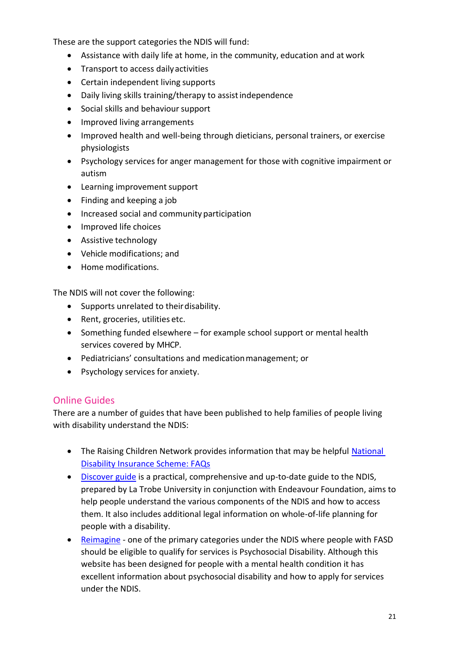These are the support categories the NDIS will fund:

- Assistance with daily life at home, in the community, education and at work
- Transport to access daily activities
- Certain independent living supports
- Daily living skills training/therapy to assistindependence
- Social skills and behaviour support
- Improved living arrangements
- Improved health and well-being through dieticians, personal trainers, or exercise physiologists
- Psychology services for anger management for those with cognitive impairment or autism
- Learning improvement support
- Finding and keeping a job
- Increased social and community participation
- Improved life choices
- Assistive technology
- Vehicle modifications; and
- Home modifications.

The NDIS will not cover the following:

- Supports unrelated to their disability.
- Rent, groceries, utilities etc.
- Something funded elsewhere for example school support or mental health services covered by MHCP.
- Pediatricians' consultations and medicationmanagement; or
- Psychology services for anxiety.

#### <span id="page-20-0"></span>Online Guides

There are a number of guides that have been published to help families of people living with disability understand the NDIS:

- The Raising Children Network provides information that may be helpful National [Disability Insurance Scheme: FAQs](http://raisingchildren.net.au/articles/national_disability_insurance_scheme_faqs.html)
- [Discover guide](https://ndis.endeavour.com.au/ndis/resources) is a practical, comprehensive and up-to-date guide to the NDIS, prepared by La Trobe University in conjunction with Endeavour Foundation, aims to help people understand the various components of the NDIS and how to access them. It also includes additional legal information on whole-of-life planning for people with a disability.
- [Reimagine](http://reimagine.today/how-to-use-this-site/) one of the primary categories under the NDIS where people with FASD should be eligible to qualify for services is Psychosocial Disability. Although this website has been designed for people with a mental health condition it has excellent information about psychosocial disability and how to apply for services under the NDIS.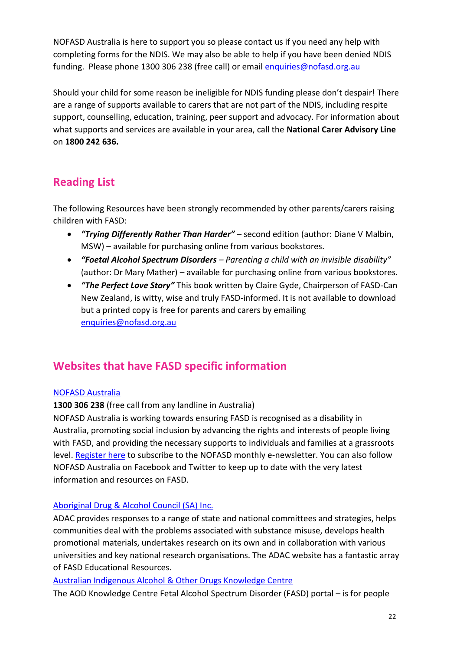NOFASD Australia is here to support you so please contact us if you need any help with completing forms for the NDIS. We may also be able to help if you have been denied NDIS funding. Please phone 1300 306 238 (free call) or email [enquiries@nofasd.org.au](mailto:enquiries@nofasd.org.au)

Should your child for some reason be ineligible for NDIS funding please don't despair! There are a range of supports available to carers that are not part of the NDIS, including respite support, counselling, education, training, peer support and advocacy. For information about what supports and services are available in your area, call the **National Carer Advisory Line**  on **1800 242 636.**

# <span id="page-21-0"></span>**Reading List**

The following Resources have been strongly recommended by other parents/carers raising children with FASD:

- *"Trying Differently Rather Than Harder"* second edition (author: Diane V Malbin, MSW) – available for purchasing online from various bookstores.
- *"Foetal Alcohol Spectrum Disorders – Parenting a child with an invisible disability"* (author: Dr Mary Mather) – available for purchasing online from various bookstores.
- *"The Perfect Love Story"* This book written by Claire Gyde, Chairperson of FASD-Can New Zealand, is witty, wise and truly FASD-informed. It is not available to download but a printed copy is free for parents and carers by emailing [enquiries@nofasd.org.au](mailto:enquiries@nofasd.org.au)

# <span id="page-21-1"></span>**Websites that have FASD specific information**

#### NOFASD [Australia](http://www.nofasd.org.au/)

**1300 306 238** (free call from any landline in Australia)

NOFASD Australia is working towards ensuring FASD is recognised as a disability in Australia, promoting social inclusion by advancing the rights and interests of people living with FASD, and providing the necessary supports to individuals and families at a grassroots level. [Register here](http://www.nofasd.org.au/news-and-events/e-newsletters) to subscribe to the NOFASD monthly e-newsletter. You can also follow NOFASD Australia on Facebook and Twitter to keep up to date with the very latest information and resources on FASD.

#### [Aboriginal Drug & Alcohol Council \(SA\) Inc.](http://www.adac.org.au/)

ADAC provides responses to a range of state and national committees and strategies, helps communities deal with the problems associated with substance misuse, develops health promotional materials, undertakes research on its own and in collaboration with various universities and key national research organisations. The ADAC website has a fantastic array of FASD Educational Resources.

#### [Australian Indigenous Alcohol & Other Drugs Knowledge Centre](http://www.aodknowledgecentre.net.au/aodkc/alcohol/fasd)

The AOD Knowledge Centre Fetal Alcohol Spectrum Disorder (FASD) portal – is for people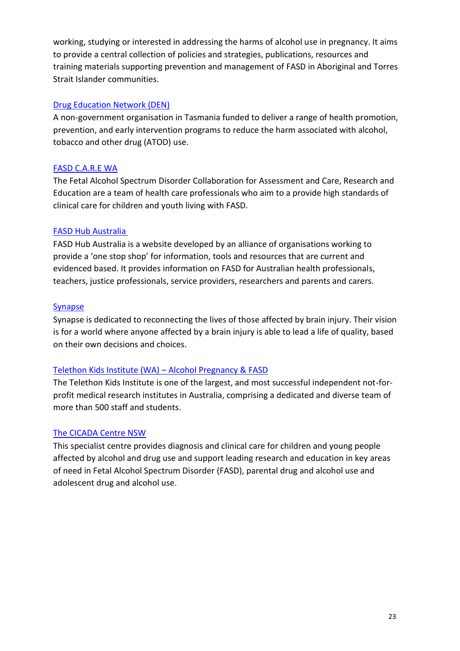working, studying or interested in addressing the harms of alcohol use in pregnancy. It aims to provide a central collection of policies and strategies, publications, resources and training materials supporting prevention and management of FASD in Aboriginal and Torres Strait Islander communities.

#### [Drug Education Network \(DEN\)](http://www.den.org.au/)

A non-government organisation in Tasmania funded to deliver a range of health promotion, prevention, and early intervention programs to reduce the harm associated with alcohol, tobacco and other drug (ATOD) use.

#### [FASD C.A.R.E WA](http://www.fasdcare.org.au/)

The Fetal Alcohol Spectrum Disorder Collaboration for Assessment and Care, Research and Education are a team of health care professionals who aim to a provide high standards of clinical care for children and youth living with FASD.

#### [FASD Hub Australia](https://www.fasdhub.org.au/fasd-information/about-us/)

FASD Hub Australia is a website developed by an alliance of organisations working to provide a 'one stop shop' for information, tools and resources that are current and evidenced based. It provides information on FASD for Australian health professionals, teachers, justice professionals, service providers, researchers and parents and carers.

#### [Synapse](http://synapse.org.au/information-services/fetal-alcohol-spectrum-disorder-(fasd).aspx)

Synapse is dedicated to reconnecting the lives of those affected by brain injury. Their vision is for a world where anyone affected by a brain injury is able to lead a life of quality, based on their own decisions and choices.

#### [Telethon Kids Institute \(WA\)](https://alcoholpregnancy.telethonkids.org.au/) – Alcohol Pregnancy & FASD

The Telethon Kids Institute is one of the largest, and most successful independent not-forprofit medical research institutes in Australia, comprising a dedicated and diverse team of more than 500 staff and students.

#### [The CICADA Centre NSW](https://www.schn.health.nsw.gov.au/files/attachments/adm3620_cicada_brochure_6pp_dl_fa.pdf)

This specialist centre provides diagnosis and clinical care for children and young people affected by alcohol and drug use and support leading research and education in key areas of need in Fetal Alcohol Spectrum Disorder (FASD), parental drug and alcohol use and adolescent drug and alcohol use.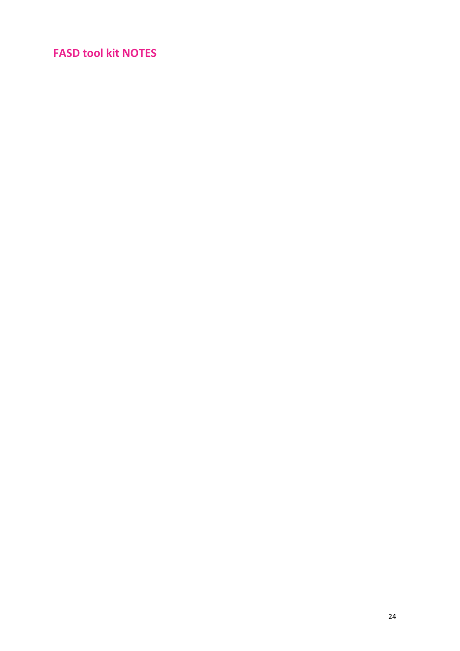# <span id="page-23-0"></span>**FASD tool kit NOTES**